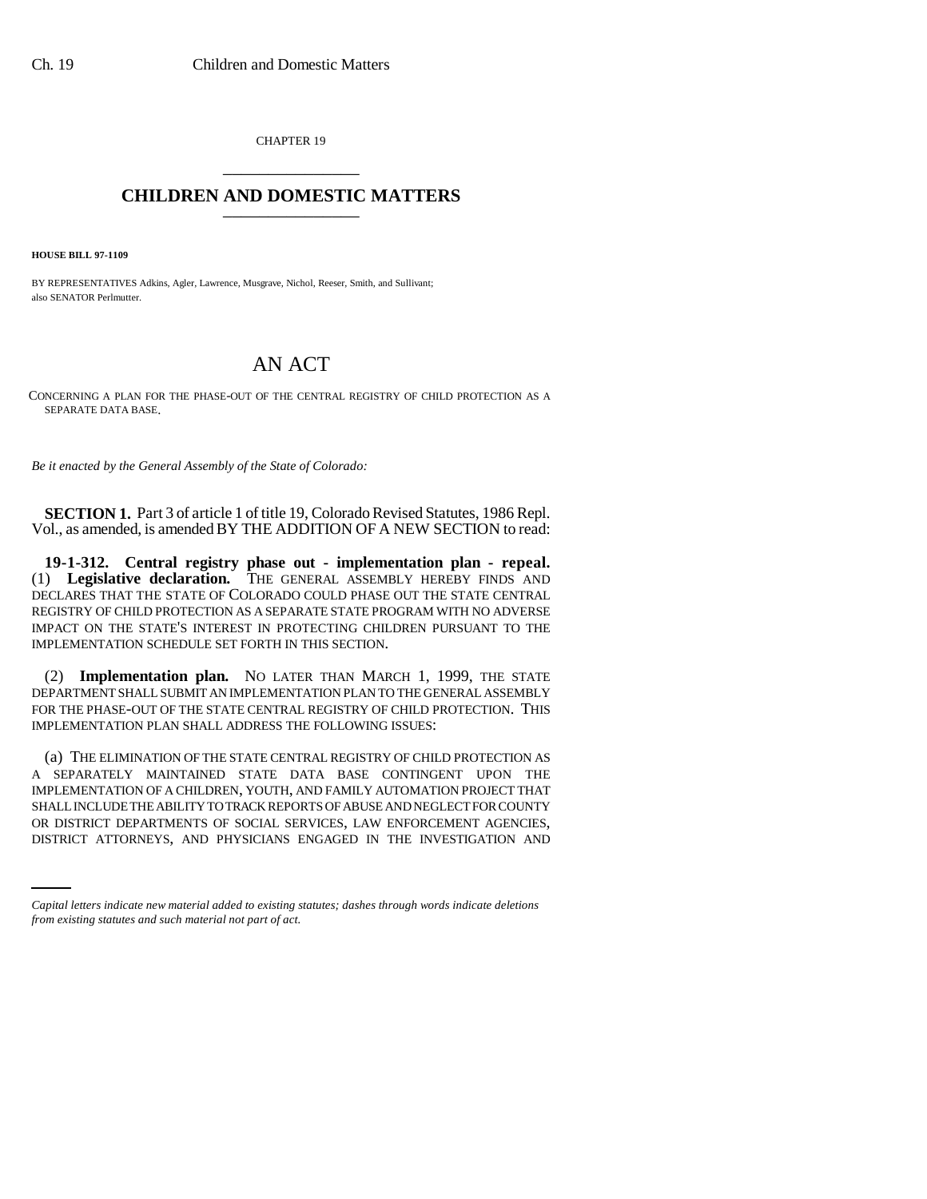CHAPTER 19 \_\_\_\_\_\_\_\_\_\_\_\_\_\_\_

## **CHILDREN AND DOMESTIC MATTERS** \_\_\_\_\_\_\_\_\_\_\_\_\_\_\_

**HOUSE BILL 97-1109**

BY REPRESENTATIVES Adkins, Agler, Lawrence, Musgrave, Nichol, Reeser, Smith, and Sullivant; also SENATOR Perlmutter.

## AN ACT

CONCERNING A PLAN FOR THE PHASE-OUT OF THE CENTRAL REGISTRY OF CHILD PROTECTION AS A SEPARATE DATA BASE.

*Be it enacted by the General Assembly of the State of Colorado:*

**SECTION 1.** Part 3 of article 1 of title 19, Colorado Revised Statutes, 1986 Repl. Vol., as amended, is amended BY THE ADDITION OF A NEW SECTION to read:

**19-1-312. Central registry phase out - implementation plan - repeal.** (1) **Legislative declaration.** THE GENERAL ASSEMBLY HEREBY FINDS AND DECLARES THAT THE STATE OF COLORADO COULD PHASE OUT THE STATE CENTRAL REGISTRY OF CHILD PROTECTION AS A SEPARATE STATE PROGRAM WITH NO ADVERSE IMPACT ON THE STATE'S INTEREST IN PROTECTING CHILDREN PURSUANT TO THE IMPLEMENTATION SCHEDULE SET FORTH IN THIS SECTION.

(2) **Implementation plan.** NO LATER THAN MARCH 1, 1999, THE STATE DEPARTMENT SHALL SUBMIT AN IMPLEMENTATION PLAN TO THE GENERAL ASSEMBLY FOR THE PHASE-OUT OF THE STATE CENTRAL REGISTRY OF CHILD PROTECTION. THIS IMPLEMENTATION PLAN SHALL ADDRESS THE FOLLOWING ISSUES:

SHALL INCLUDE THE ABILITY TO TRACK REPORTS OF ABUSE AND NEGLECT FOR COUNTY (a) THE ELIMINATION OF THE STATE CENTRAL REGISTRY OF CHILD PROTECTION AS A SEPARATELY MAINTAINED STATE DATA BASE CONTINGENT UPON THE IMPLEMENTATION OF A CHILDREN, YOUTH, AND FAMILY AUTOMATION PROJECT THAT OR DISTRICT DEPARTMENTS OF SOCIAL SERVICES, LAW ENFORCEMENT AGENCIES, DISTRICT ATTORNEYS, AND PHYSICIANS ENGAGED IN THE INVESTIGATION AND

*Capital letters indicate new material added to existing statutes; dashes through words indicate deletions from existing statutes and such material not part of act.*